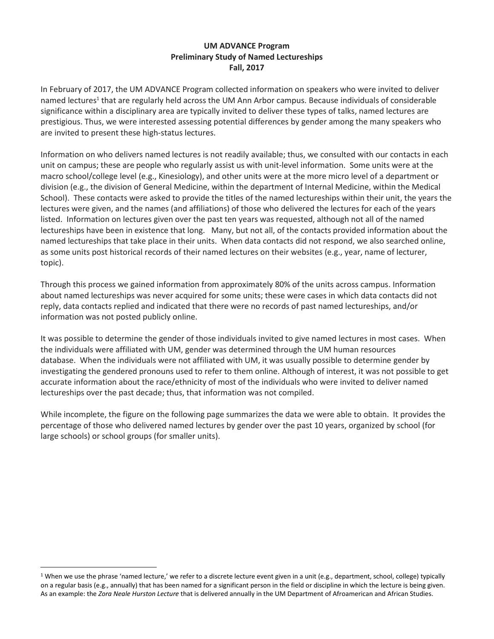## **UM ADVANCE Program Preliminary Study of Named Lectureships Fall, 2017**

In February of 2017, the UM ADVANCE Program collected information on speakers who were invited to deliver named lectures<sup>1</sup> that are regularly held across the UM Ann Arbor campus. Because individuals of considerable significance within a disciplinary area are typically invited to deliver these types of talks, named lectures are prestigious. Thus, we were interested assessing potential differences by gender among the many speakers who are invited to present these high-status lectures.

Information on who delivers named lectures is not readily available; thus, we consulted with our contacts in each unit on campus; these are people who regularly assist us with unit-level information. Some units were at the macro school/college level (e.g., Kinesiology), and other units were at the more micro level of a department or division (e.g., the division of General Medicine, within the department of Internal Medicine, within the Medical School). These contacts were asked to provide the titles of the named lectureships within their unit, the years the lectures were given, and the names (and affiliations) of those who delivered the lectures for each of the years listed. Information on lectures given over the past ten years was requested, although not all of the named lectureships have been in existence that long. Many, but not all, of the contacts provided information about the named lectureships that take place in their units. When data contacts did not respond, we also searched online, as some units post historical records of their named lectures on their websites (e.g., year, name of lecturer, topic).

Through this process we gained information from approximately 80% of the units across campus. Information about named lectureships was never acquired for some units; these were cases in which data contacts did not reply, data contacts replied and indicated that there were no records of past named lectureships, and/or information was not posted publicly online.

It was possible to determine the gender of those individuals invited to give named lectures in most cases. When the individuals were affiliated with UM, gender was determined through the UM human resources database. When the individuals were not affiliated with UM, it was usually possible to determine gender by investigating the gendered pronouns used to refer to them online. Although of interest, it was not possible to get accurate information about the race/ethnicity of most of the individuals who were invited to deliver named lectureships over the past decade; thus, that information was not compiled.

While incomplete, the figure on the following page summarizes the data we were able to obtain. It provides the percentage of those who delivered named lectures by gender over the past 10 years, organized by school (for large schools) or school groups (for smaller units).

 $\overline{a}$ 

<sup>&</sup>lt;sup>1</sup> When we use the phrase 'named lecture,' we refer to a discrete lecture event given in a unit (e.g., department, school, college) typically on a regular basis (e.g., annually) that has been named for a significant person in the field or discipline in which the lecture is being given. As an example: the *Zora Neale Hurston Lecture* that is delivered annually in the UM Department of Afroamerican and African Studies.